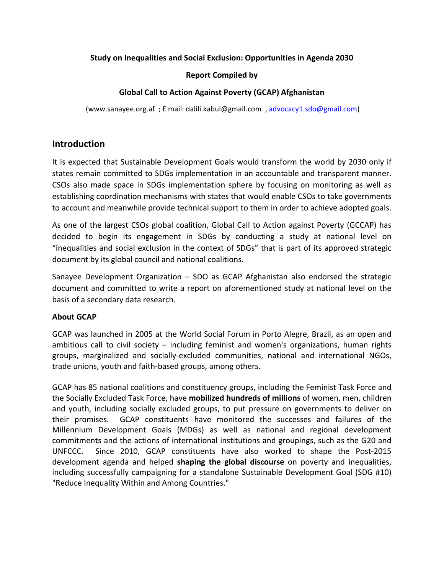## **Study on Inequalities and Social Exclusion: Opportunities in Agenda 2030**

## **Report Compiled by**

## **Global Call to Action Against Poverty (GCAP) Afghanistan**

(www.sanayee.org.af ; E mail: dalili.kabul@gmail.com , advocacy1.sdo@gmail.com) 

# **Introduction**

It is expected that Sustainable Development Goals would transform the world by 2030 only if states remain committed to SDGs implementation in an accountable and transparent manner. CSOs also made space in SDGs implementation sphere by focusing on monitoring as well as establishing coordination mechanisms with states that would enable CSOs to take governments to account and meanwhile provide technical support to them in order to achieve adopted goals.

As one of the largest CSOs global coalition, Global Call to Action against Poverty (GCCAP) has decided to begin its engagement in SDGs by conducting a study at national level on "inequalities and social exclusion in the context of SDGs" that is part of its approved strategic document by its global council and national coalitions.

Sanayee Development Organization  $-$  SDO as GCAP Afghanistan also endorsed the strategic document and committed to write a report on aforementioned study at national level on the basis of a secondary data research.

## **About GCAP**

GCAP was launched in 2005 at the World Social Forum in Porto Alegre, Brazil, as an open and ambitious call to civil society – including feminist and women's organizations, human rights groups, marginalized and socially-excluded communities, national and international NGOs, trade unions, youth and faith-based groups, among others.

GCAP has 85 national coalitions and constituency groups, including the Feminist Task Force and the Socially Excluded Task Force, have **mobilized hundreds of millions** of women, men, children and youth, including socially excluded groups, to put pressure on governments to deliver on their promises. GCAP constituents have monitored the successes and failures of the Millennium Development Goals (MDGs) as well as national and regional development commitments and the actions of international institutions and groupings, such as the G20 and UNFCCC. Since 2010, GCAP constituents have also worked to shape the Post-2015 development agenda and helped **shaping the global discourse** on poverty and inequalities, including successfully campaigning for a standalone Sustainable Development Goal (SDG #10) "Reduce Inequality Within and Among Countries."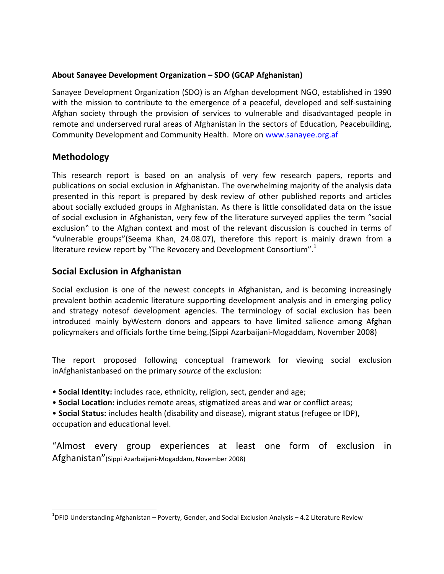## About Sanayee Development Organization – SDO (GCAP Afghanistan)

Sanayee Development Organization (SDO) is an Afghan development NGO, established in 1990 with the mission to contribute to the emergence of a peaceful, developed and self-sustaining Afghan society through the provision of services to vulnerable and disadvantaged people in remote and underserved rural areas of Afghanistan in the sectors of Education, Peacebuilding, Community Development and Community Health. More on www.sanayee.org.af

# **Methodology**

This research report is based on an analysis of very few research papers, reports and publications on social exclusion in Afghanistan. The overwhelming majority of the analysis data presented in this report is prepared by desk review of other published reports and articles about socially excluded groups in Afghanistan. As there is little consolidated data on the issue of social exclusion in Afghanistan, very few of the literature surveyed applies the term "social exclusion" to the Afghan context and most of the relevant discussion is couched in terms of "vulnerable groups"(Seema Khan, 24.08.07), therefore this report is mainly drawn from a literature review report by "The Revocery and Development Consortium". $1$ 

# **Social Exclusion in Afghanistan**

<u> 1989 - Johann Stein, markin film yn y breninn y breninn y breninn y breninn y breninn y breninn y breninn y b</u>

Social exclusion is one of the newest concepts in Afghanistan, and is becoming increasingly prevalent bothin academic literature supporting development analysis and in emerging policy and strategy notesof development agencies. The terminology of social exclusion has been introduced mainly byWestern donors and appears to have limited salience among Afghan policymakers and officials forthe time being.(Sippi Azarbaijani-Mogaddam, November 2008)

The report proposed following conceptual framework for viewing social exclusion inAfghanistanbased on the primary *source* of the exclusion:

• **Social Identity:** includes race, ethnicity, religion, sect, gender and age;

• Social Location: includes remote areas, stigmatized areas and war or conflict areas;

• **Social Status:** includes health (disability and disease), migrant status (refugee or IDP), occupation and educational level. 

"Almost every group experiences at least one form of exclusion in Afghanistan" (Sippi Azarbaijani-Mogaddam, November 2008)

 $^{1}$ DFID Understanding Afghanistan – Poverty, Gender, and Social Exclusion Analysis – 4.2 Literature Review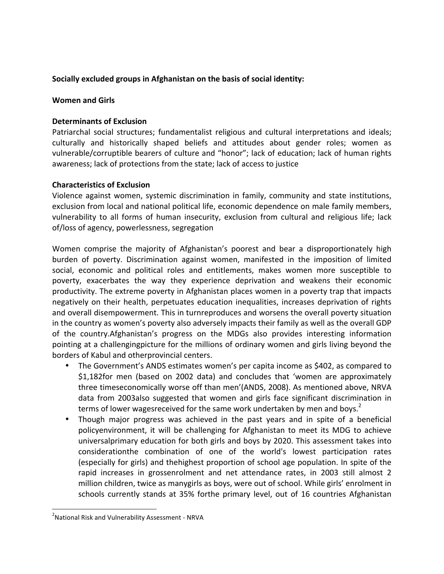## Socially excluded groups in Afghanistan on the basis of social identity:

## **Women and Girls**

## **Determinants of Exclusion**

Patriarchal social structures; fundamentalist religious and cultural interpretations and ideals; culturally and historically shaped beliefs and attitudes about gender roles; women as vulnerable/corruptible bearers of culture and "honor"; lack of education; lack of human rights awareness; lack of protections from the state; lack of access to justice

## **Characteristics of Exclusion**

Violence against women, systemic discrimination in family, community and state institutions, exclusion from local and national political life, economic dependence on male family members, vulnerability to all forms of human insecurity, exclusion from cultural and religious life; lack of/loss of agency, powerlessness, segregation

Women comprise the majority of Afghanistan's poorest and bear a disproportionately high burden of poverty. Discrimination against women, manifested in the imposition of limited social, economic and political roles and entitlements, makes women more susceptible to poverty, exacerbates the way they experience deprivation and weakens their economic productivity. The extreme poverty in Afghanistan places women in a poverty trap that impacts negatively on their health, perpetuates education inequalities, increases deprivation of rights and overall disempowerment. This in turnreproduces and worsens the overall poverty situation in the country as women's poverty also adversely impacts their family as well as the overall GDP of the country.Afghanistan's progress on the MDGs also provides interesting information pointing at a challengingpicture for the millions of ordinary women and girls living beyond the borders of Kabul and otherprovincial centers.

- The Government's ANDS estimates women's per capita income as \$402, as compared to \$1,182for men (based on 2002 data) and concludes that 'women are approximately three timeseconomically worse off than men'(ANDS, 2008). As mentioned above, NRVA data from 2003also suggested that women and girls face significant discrimination in terms of lower wagesreceived for the same work undertaken by men and boys. $2^2$
- Though major progress was achieved in the past years and in spite of a beneficial policyenvironment, it will be challenging for Afghanistan to meet its MDG to achieve universalprimary education for both girls and boys by 2020. This assessment takes into considerationthe combination of one of the world's lowest participation rates (especially for girls) and thehighest proportion of school age population. In spite of the rapid increases in grossenrolment and net attendance rates, in 2003 still almost 2 million children, twice as manygirls as boys, were out of school. While girls' enrolment in schools currently stands at 35% forthe primary level, out of 16 countries Afghanistan

<u> 1989 - Johann Stein, markin film yn y breninn y breninn y breninn y breninn y breninn y breninn y breninn y b</u>

<sup>&</sup>lt;sup>2</sup>National Risk and Vulnerability Assessment - NRVA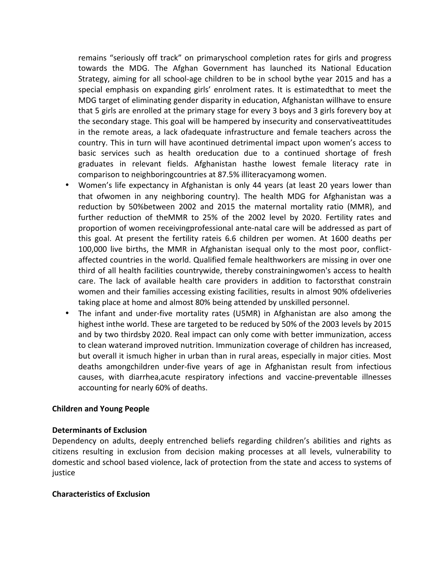remains "seriously off track" on primaryschool completion rates for girls and progress towards the MDG. The Afghan Government has launched its National Education Strategy, aiming for all school-age children to be in school bythe year 2015 and has a special emphasis on expanding girls' enrolment rates. It is estimatedthat to meet the MDG target of eliminating gender disparity in education, Afghanistan willhave to ensure that 5 girls are enrolled at the primary stage for every 3 boys and 3 girls forevery boy at the secondary stage. This goal will be hampered by insecurity and conservativeattitudes in the remote areas, a lack ofadequate infrastructure and female teachers across the country. This in turn will have acontinued detrimental impact upon women's access to basic services such as health oreducation due to a continued shortage of fresh graduates in relevant fields. Afghanistan hasthe lowest female literacy rate in comparison to neighboringcountries at 87.5% illiteracyamong women.

- Women's life expectancy in Afghanistan is only 44 years (at least 20 years lower than that ofwomen in any neighboring country). The health MDG for Afghanistan was a reduction by 50%between 2002 and 2015 the maternal mortality ratio (MMR), and further reduction of theMMR to 25% of the 2002 level by 2020. Fertility rates and proportion of women receivingprofessional ante-natal care will be addressed as part of this goal. At present the fertility rateis 6.6 children per women. At 1600 deaths per 100,000 live births, the MMR in Afghanistan isequal only to the most poor, conflictaffected countries in the world. Qualified female healthworkers are missing in over one third of all health facilities countrywide, thereby constrainingwomen's access to health care. The lack of available health care providers in addition to factorsthat constrain women and their families accessing existing facilities, results in almost 90% ofdeliveries taking place at home and almost 80% being attended by unskilled personnel.
- The infant and under-five mortality rates (U5MR) in Afghanistan are also among the highest inthe world. These are targeted to be reduced by 50% of the 2003 levels by 2015 and by two thirdsby 2020. Real impact can only come with better immunization, access to clean waterand improved nutrition. Immunization coverage of children has increased, but overall it ismuch higher in urban than in rural areas, especially in major cities. Most deaths amongchildren under-five years of age in Afghanistan result from infectious causes, with diarrhea, acute respiratory infections and vaccine-preventable illnesses accounting for nearly 60% of deaths.

## **Children and Young People**

## **Determinants of Exclusion**

Dependency on adults, deeply entrenched beliefs regarding children's abilities and rights as citizens resulting in exclusion from decision making processes at all levels, vulnerability to domestic and school based violence, lack of protection from the state and access to systems of justice

## **Characteristics of Exclusion**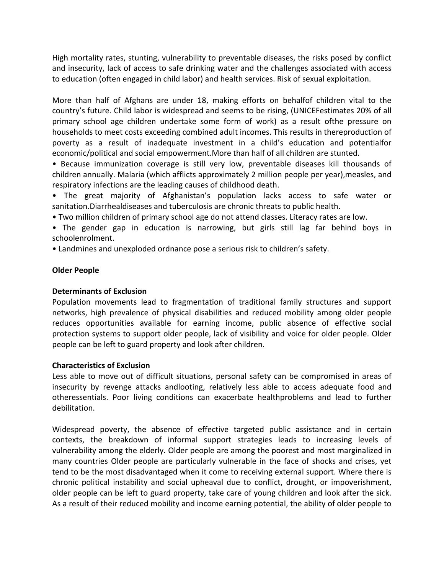High mortality rates, stunting, vulnerability to preventable diseases, the risks posed by conflict and insecurity, lack of access to safe drinking water and the challenges associated with access to education (often engaged in child labor) and health services. Risk of sexual exploitation.

More than half of Afghans are under 18, making efforts on behalfof children vital to the country's future. Child labor is widespread and seems to be rising, (UNICEFestimates 20% of all primary school age children undertake some form of work) as a result ofthe pressure on households to meet costs exceeding combined adult incomes. This results in thereproduction of poverty as a result of inadequate investment in a child's education and potentialfor economic/political and social empowerment.More than half of all children are stunted.

• Because immunization coverage is still very low, preventable diseases kill thousands of children annually. Malaria (which afflicts approximately 2 million people per year), measles, and respiratory infections are the leading causes of childhood death.

• The great majority of Afghanistan's population lacks access to safe water or sanitation. Diarrhealdiseases and tuberculosis are chronic threats to public health.

• Two million children of primary school age do not attend classes. Literacy rates are low.

• The gender gap in education is narrowing, but girls still lag far behind boys in schoolenrolment.

• Landmines and unexploded ordnance pose a serious risk to children's safety.

## **Older People**

## **Determinants of Exclusion**

Population movements lead to fragmentation of traditional family structures and support networks, high prevalence of physical disabilities and reduced mobility among older people reduces opportunities available for earning income, public absence of effective social protection systems to support older people, lack of visibility and voice for older people. Older people can be left to guard property and look after children.

## **Characteristics of Exclusion**

Less able to move out of difficult situations, personal safety can be compromised in areas of insecurity by revenge attacks andlooting, relatively less able to access adequate food and otheressentials. Poor living conditions can exacerbate healthproblems and lead to further debilitation.

Widespread poverty, the absence of effective targeted public assistance and in certain contexts, the breakdown of informal support strategies leads to increasing levels of vulnerability among the elderly. Older people are among the poorest and most marginalized in many countries Older people are particularly vulnerable in the face of shocks and crises, yet tend to be the most disadvantaged when it come to receiving external support. Where there is chronic political instability and social upheaval due to conflict, drought, or impoverishment, older people can be left to guard property, take care of young children and look after the sick. As a result of their reduced mobility and income earning potential, the ability of older people to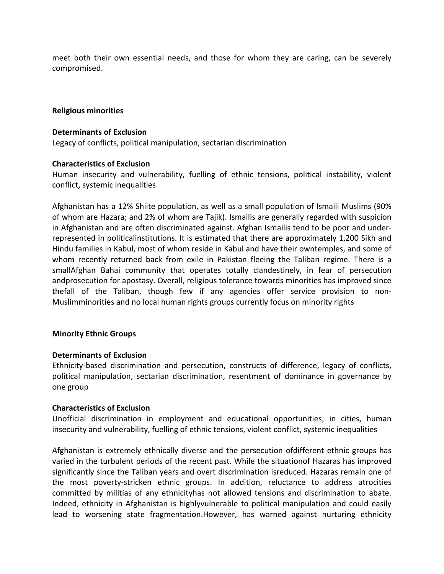meet both their own essential needs, and those for whom they are caring, can be severely compromised.

#### **Religious minorities**

#### **Determinants of Exclusion**

Legacy of conflicts, political manipulation, sectarian discrimination

### **Characteristics of Exclusion**

Human insecurity and vulnerability, fuelling of ethnic tensions, political instability, violent conflict, systemic inequalities

Afghanistan has a 12% Shiite population, as well as a small population of Ismaili Muslims (90%) of whom are Hazara; and 2% of whom are Tajik). Ismailis are generally regarded with suspicion in Afghanistan and are often discriminated against. Afghan Ismailis tend to be poor and underrepresented in politicalinstitutions. It is estimated that there are approximately 1,200 Sikh and Hindu families in Kabul, most of whom reside in Kabul and have their owntemples, and some of whom recently returned back from exile in Pakistan fleeing the Taliban regime. There is a smallAfghan Bahai community that operates totally clandestinely, in fear of persecution andprosecution for apostasy. Overall, religious tolerance towards minorities has improved since thefall of the Taliban, though few if any agencies offer service provision to non-Muslimminorities and no local human rights groups currently focus on minority rights

#### **Minority Ethnic Groups**

#### **Determinants of Exclusion**

Ethnicity-based discrimination and persecution, constructs of difference, legacy of conflicts, political manipulation, sectarian discrimination, resentment of dominance in governance by one group

#### **Characteristics of Exclusion**

Unofficial discrimination in employment and educational opportunities; in cities, human insecurity and vulnerability, fuelling of ethnic tensions, violent conflict, systemic inequalities

Afghanistan is extremely ethnically diverse and the persecution ofdifferent ethnic groups has varied in the turbulent periods of the recent past. While the situationof Hazaras has improved significantly since the Taliban years and overt discrimination isreduced. Hazaras remain one of the most poverty-stricken ethnic groups. In addition, reluctance to address atrocities committed by militias of any ethnicityhas not allowed tensions and discrimination to abate. Indeed, ethnicity in Afghanistan is highlyvulnerable to political manipulation and could easily lead to worsening state fragmentation.However, has warned against nurturing ethnicity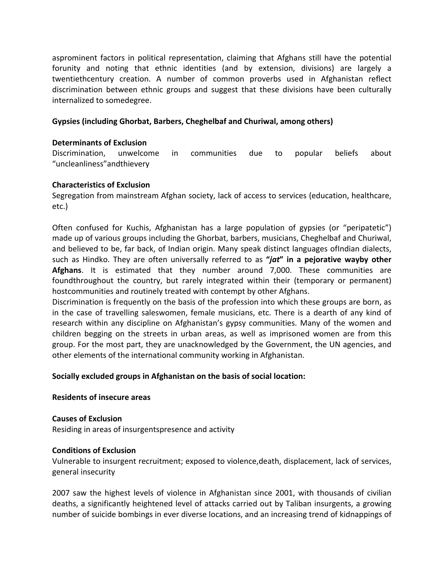asprominent factors in political representation, claiming that Afghans still have the potential forunity and noting that ethnic identities (and by extension, divisions) are largely a twentiethcentury creation. A number of common proverbs used in Afghanistan reflect discrimination between ethnic groups and suggest that these divisions have been culturally internalized to somedegree.

## Gypsies (including Ghorbat, Barbers, Cheghelbaf and Churiwal, among others)

### **Determinants of Exclusion**

Discrimination, unwelcome in communities due to popular beliefs about "uncleanliness"andthievery 

### **Characteristics of Exclusion**

Segregation from mainstream Afghan society, lack of access to services (education, healthcare, etc.)

Often confused for Kuchis, Afghanistan has a large population of gypsies (or "peripatetic") made up of various groups including the Ghorbat, barbers, musicians, Cheghelbaf and Churiwal, and believed to be, far back, of Indian origin. Many speak distinct languages of Indian dialects, such as Hindko. They are often universally referred to as "*jat*" in a pejorative wayby other **Afghans**. It is estimated that they number around 7,000. These communities are foundthroughout the country, but rarely integrated within their (temporary or permanent) hostcommunities and routinely treated with contempt by other Afghans.

Discrimination is frequently on the basis of the profession into which these groups are born, as in the case of travelling saleswomen, female musicians, etc. There is a dearth of any kind of research within any discipline on Afghanistan's gypsy communities. Many of the women and children begging on the streets in urban areas, as well as imprisoned women are from this group. For the most part, they are unacknowledged by the Government, the UN agencies, and other elements of the international community working in Afghanistan.

## Socially excluded groups in Afghanistan on the basis of social location:

#### **Residents of insecure areas**

**Causes of Exclusion** Residing in areas of insurgentspresence and activity

#### **Conditions of Exclusion**

Vulnerable to insurgent recruitment; exposed to violence, death, displacement, lack of services, general insecurity

2007 saw the highest levels of violence in Afghanistan since 2001, with thousands of civilian deaths, a significantly heightened level of attacks carried out by Taliban insurgents, a growing number of suicide bombings in ever diverse locations, and an increasing trend of kidnappings of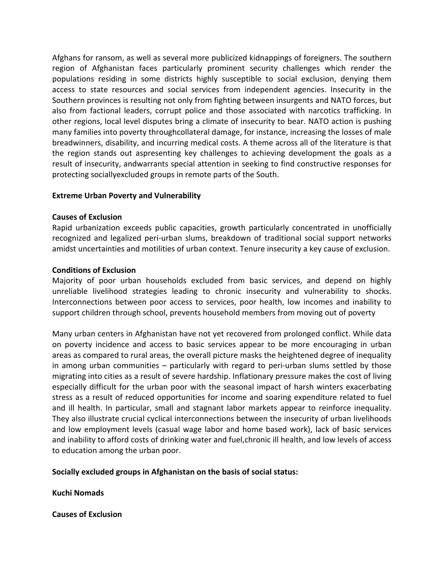Afghans for ransom, as well as several more publicized kidnappings of foreigners. The southern region of Afghanistan faces particularly prominent security challenges which render the populations residing in some districts highly susceptible to social exclusion, denying them access to state resources and social services from independent agencies. Insecurity in the Southern provinces is resulting not only from fighting between insurgents and NATO forces, but also from factional leaders, corrupt police and those associated with narcotics trafficking. In other regions, local level disputes bring a climate of insecurity to bear. NATO action is pushing many families into poverty throughcollateral damage, for instance, increasing the losses of male breadwinners, disability, and incurring medical costs. A theme across all of the literature is that the region stands out aspresenting key challenges to achieving development the goals as a result of insecurity, andwarrants special attention in seeking to find constructive responses for protecting sociallyexcluded groups in remote parts of the South.

## **Extreme Urban Poverty and Vulnerability**

## **Causes of Exclusion**

Rapid urbanization exceeds public capacities, growth particularly concentrated in unofficially recognized and legalized peri-urban slums, breakdown of traditional social support networks amidst uncertainties and motilities of urban context. Tenure insecurity a key cause of exclusion.

### **Conditions of Exclusion**

Majority of poor urban households excluded from basic services, and depend on highly unreliable livelihood strategies leading to chronic insecurity and vulnerability to shocks. Interconnections between poor access to services, poor health, low incomes and inability to support children through school, prevents household members from moving out of poverty

Many urban centers in Afghanistan have not yet recovered from prolonged conflict. While data on poverty incidence and access to basic services appear to be more encouraging in urban areas as compared to rural areas, the overall picture masks the heightened degree of inequality in among urban communities  $-$  particularly with regard to peri-urban slums settled by those migrating into cities as a result of severe hardship. Inflationary pressure makes the cost of living especially difficult for the urban poor with the seasonal impact of harsh winters exacerbating stress as a result of reduced opportunities for income and soaring expenditure related to fuel and ill health. In particular, small and stagnant labor markets appear to reinforce inequality. They also illustrate crucial cyclical interconnections between the insecurity of urban livelihoods and low employment levels (casual wage labor and home based work), lack of basic services and inability to afford costs of drinking water and fuel, chronic ill health, and low levels of access to education among the urban poor.

## Socially excluded groups in Afghanistan on the basis of social status:

**Kuchi Nomads**

**Causes of Exclusion**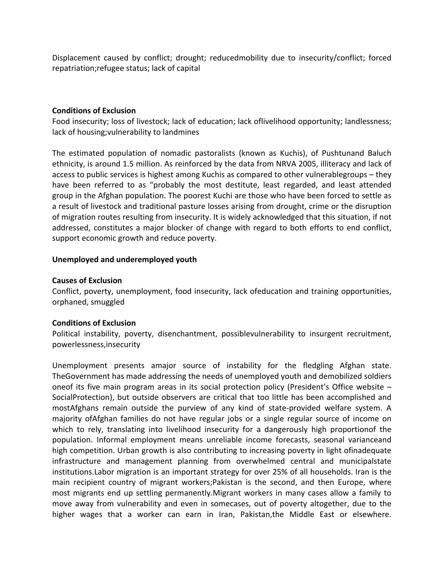Displacement caused by conflict; drought; reducedmobility due to insecurity/conflict; forced repatriation; refugee status; lack of capital

### **Conditions of Exclusion**

Food insecurity; loss of livestock; lack of education; lack oflivelihood opportunity; landlessness; lack of housing; vulnerability to landmines

The estimated population of nomadic pastoralists (known as Kuchis), of Pushtunand Baluch ethnicity, is around 1.5 million. As reinforced by the data from NRVA 2005, illiteracy and lack of access to public services is highest among Kuchis as compared to other vulnerablegroups – they have been referred to as "probably the most destitute, least regarded, and least attended group in the Afghan population. The poorest Kuchi are those who have been forced to settle as a result of livestock and traditional pasture losses arising from drought, crime or the disruption of migration routes resulting from insecurity. It is widely acknowledged that this situation, if not addressed, constitutes a major blocker of change with regard to both efforts to end conflict, support economic growth and reduce poverty.

## **Unemployed and underemployed youth**

### **Causes of Exclusion**

Conflict, poverty, unemployment, food insecurity, lack ofeducation and training opportunities, orphaned, smuggled

#### **Conditions of Exclusion**

Political instability, poverty, disenchantment, possiblevulnerability to insurgent recruitment, powerlessness,insecurity

Unemployment presents amajor source of instability for the fledgling Afghan state. The Government has made addressing the needs of unemployed youth and demobilized soldiers oneof its five main program areas in its social protection policy (President's Office website  $-$ SocialProtection), but outside observers are critical that too little has been accomplished and mostAfghans remain outside the purview of any kind of state-provided welfare system. A majority ofAfghan families do not have regular jobs or a single regular source of income on which to rely, translating into livelihood insecurity for a dangerously high proportionof the population. Informal employment means unreliable income forecasts, seasonal varianceand high competition. Urban growth is also contributing to increasing poverty in light ofinadequate infrastructure and management planning from overwhelmed central and municipalstate institutions. Labor migration is an important strategy for over 25% of all households. Iran is the main recipient country of migrant workers; Pakistan is the second, and then Europe, where most migrants end up settling permanently. Migrant workers in many cases allow a family to move away from vulnerability and even in somecases, out of poverty altogether, due to the higher wages that a worker can earn in Iran, Pakistan,the Middle East or elsewhere.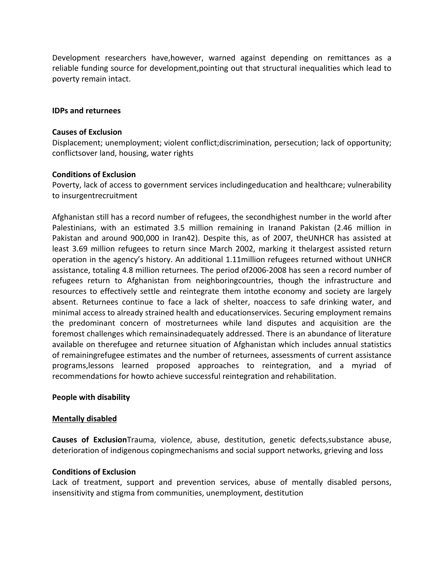Development researchers have,however, warned against depending on remittances as a reliable funding source for development,pointing out that structural inequalities which lead to poverty remain intact.

#### **IDPs and returnees**

#### **Causes of Exclusion**

Displacement; unemployment; violent conflict;discrimination, persecution; lack of opportunity; conflictsover land, housing, water rights

### **Conditions of Exclusion**

Poverty, lack of access to government services includingeducation and healthcare; vulnerability to insurgentrecruitment

Afghanistan still has a record number of refugees, the secondhighest number in the world after Palestinians, with an estimated 3.5 million remaining in Iranand Pakistan (2.46 million in Pakistan and around 900,000 in Iran42). Despite this, as of 2007, theUNHCR has assisted at least 3.69 million refugees to return since March 2002, marking it thelargest assisted return operation in the agency's history. An additional 1.11million refugees returned without UNHCR assistance, totaling 4.8 million returnees. The period of 2006-2008 has seen a record number of refugees return to Afghanistan from neighboringcountries, though the infrastructure and resources to effectively settle and reintegrate them intothe economy and society are largely absent. Returnees continue to face a lack of shelter, noaccess to safe drinking water, and minimal access to already strained health and educationservices. Securing employment remains the predominant concern of mostreturnees while land disputes and acquisition are the foremost challenges which remainsinadequately addressed. There is an abundance of literature available on therefugee and returnee situation of Afghanistan which includes annual statistics of remainingrefugee estimates and the number of returnees, assessments of current assistance programs,lessons learned proposed approaches to reintegration, and a myriad of recommendations for howto achieve successful reintegration and rehabilitation.

## **People with disability**

#### **Mentally disabled**

**Causes of Exclusion**Trauma, violence, abuse, destitution, genetic defects, substance abuse, deterioration of indigenous copingmechanisms and social support networks, grieving and loss

## **Conditions of Exclusion**

Lack of treatment, support and prevention services, abuse of mentally disabled persons, insensitivity and stigma from communities, unemployment, destitution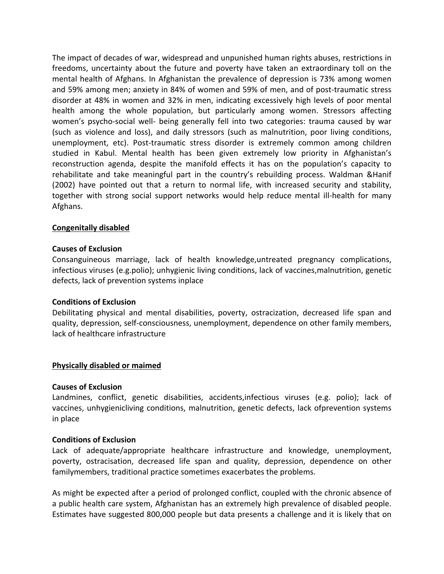The impact of decades of war, widespread and unpunished human rights abuses, restrictions in freedoms, uncertainty about the future and poverty have taken an extraordinary toll on the mental health of Afghans. In Afghanistan the prevalence of depression is 73% among women and 59% among men; anxiety in 84% of women and 59% of men, and of post-traumatic stress disorder at 48% in women and 32% in men, indicating excessively high levels of poor mental health among the whole population, but particularly among women. Stressors affecting women's psycho-social well- being generally fell into two categories: trauma caused by war (such as violence and loss), and daily stressors (such as malnutrition, poor living conditions, unemployment, etc). Post-traumatic stress disorder is extremely common among children studied in Kabul. Mental health has been given extremely low priority in Afghanistan's reconstruction agenda, despite the manifold effects it has on the population's capacity to rehabilitate and take meaningful part in the country's rebuilding process. Waldman &Hanif (2002) have pointed out that a return to normal life, with increased security and stability, together with strong social support networks would help reduce mental ill-health for many Afghans.

## **Congenitally disabled**

#### **Causes of Exclusion**

Consanguineous marriage, lack of health knowledge, untreated pregnancy complications, infectious viruses (e.g.polio); unhygienic living conditions, lack of vaccines,malnutrition, genetic defects, lack of prevention systems inplace

#### **Conditions of Exclusion**

Debilitating physical and mental disabilities, poverty, ostracization, decreased life span and quality, depression, self-consciousness, unemployment, dependence on other family members, lack of healthcare infrastructure

#### **Physically disabled or maimed**

#### **Causes of Exclusion**

Landmines, conflict, genetic disabilities, accidents,infectious viruses (e.g. polio); lack of vaccines, unhygienicliving conditions, malnutrition, genetic defects, lack ofprevention systems in place

#### **Conditions of Exclusion**

Lack of adequate/appropriate healthcare infrastructure and knowledge, unemployment, poverty, ostracisation, decreased life span and quality, depression, dependence on other familymembers, traditional practice sometimes exacerbates the problems.

As might be expected after a period of prolonged conflict, coupled with the chronic absence of a public health care system, Afghanistan has an extremely high prevalence of disabled people. Estimates have suggested 800,000 people but data presents a challenge and it is likely that on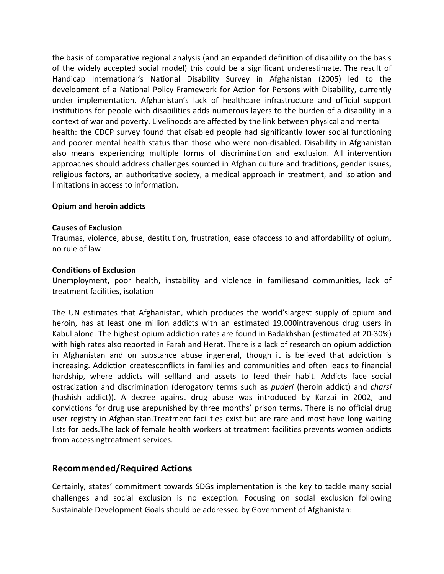the basis of comparative regional analysis (and an expanded definition of disability on the basis of the widely accepted social model) this could be a significant underestimate. The result of Handicap International's National Disability Survey in Afghanistan (2005) led to the development of a National Policy Framework for Action for Persons with Disability, currently under implementation. Afghanistan's lack of healthcare infrastructure and official support institutions for people with disabilities adds numerous layers to the burden of a disability in a context of war and poverty. Livelihoods are affected by the link between physical and mental health: the CDCP survey found that disabled people had significantly lower social functioning and poorer mental health status than those who were non-disabled. Disability in Afghanistan also means experiencing multiple forms of discrimination and exclusion. All intervention approaches should address challenges sourced in Afghan culture and traditions, gender issues, religious factors, an authoritative society, a medical approach in treatment, and isolation and limitations in access to information.

### **Opium and heroin addicts**

#### **Causes of Exclusion**

Traumas, violence, abuse, destitution, frustration, ease ofaccess to and affordability of opium, no rule of law

#### **Conditions of Exclusion**

Unemployment, poor health, instability and violence in familiesand communities, lack of treatment facilities, isolation

The UN estimates that Afghanistan, which produces the world'slargest supply of opium and heroin, has at least one million addicts with an estimated 19,000intravenous drug users in Kabul alone. The highest opium addiction rates are found in Badakhshan (estimated at 20-30%) with high rates also reported in Farah and Herat. There is a lack of research on opium addiction in Afghanistan and on substance abuse ingeneral, though it is believed that addiction is increasing. Addiction createsconflicts in families and communities and often leads to financial hardship, where addicts will sellland and assets to feed their habit. Addicts face social ostracization and discrimination (derogatory terms such as *puderi* (heroin addict) and *charsi* (hashish addict)). A decree against drug abuse was introduced by Karzai in 2002, and convictions for drug use arepunished by three months' prison terms. There is no official drug user registry in Afghanistan.Treatment facilities exist but are rare and most have long waiting lists for beds. The lack of female health workers at treatment facilities prevents women addicts from accessingtreatment services.

## **Recommended/Required Actions**

Certainly, states' commitment towards SDGs implementation is the key to tackle many social challenges and social exclusion is no exception. Focusing on social exclusion following Sustainable Development Goals should be addressed by Government of Afghanistan: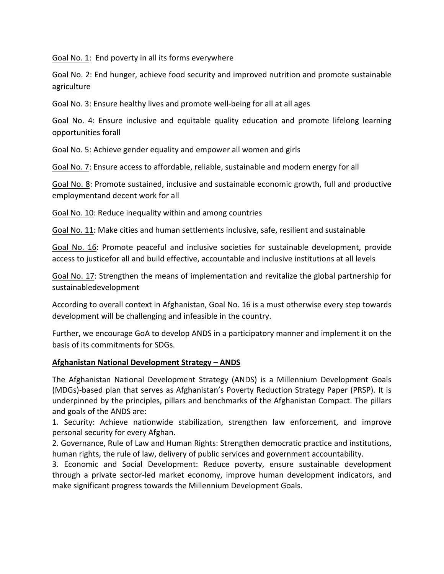Goal No. 1: End poverty in all its forms everywhere

Goal No. 2: End hunger, achieve food security and improved nutrition and promote sustainable agriculture

Goal No. 3: Ensure healthy lives and promote well-being for all at all ages

Goal No. 4: Ensure inclusive and equitable quality education and promote lifelong learning opportunities forall

Goal No. 5: Achieve gender equality and empower all women and girls

Goal No. 7: Ensure access to affordable, reliable, sustainable and modern energy for all

Goal No. 8: Promote sustained, inclusive and sustainable economic growth, full and productive employmentand decent work for all

Goal No. 10: Reduce inequality within and among countries

Goal No. 11: Make cities and human settlements inclusive, safe, resilient and sustainable

Goal No. 16: Promote peaceful and inclusive societies for sustainable development, provide access to justicefor all and build effective, accountable and inclusive institutions at all levels

Goal No. 17: Strengthen the means of implementation and revitalize the global partnership for sustainabledevelopment

According to overall context in Afghanistan, Goal No. 16 is a must otherwise every step towards development will be challenging and infeasible in the country.

Further, we encourage GoA to develop ANDS in a participatory manner and implement it on the basis of its commitments for SDGs.

## **Afghanistan National Development Strategy – ANDS**

The Afghanistan National Development Strategy (ANDS) is a Millennium Development Goals (MDGs)-based plan that serves as Afghanistan's Poverty Reduction Strategy Paper (PRSP). It is underpinned by the principles, pillars and benchmarks of the Afghanistan Compact. The pillars and goals of the ANDS are:

1. Security: Achieve nationwide stabilization, strengthen law enforcement, and improve personal security for every Afghan.

2. Governance, Rule of Law and Human Rights: Strengthen democratic practice and institutions, human rights, the rule of law, delivery of public services and government accountability.

3. Economic and Social Development: Reduce poverty, ensure sustainable development through a private sector-led market economy, improve human development indicators, and make significant progress towards the Millennium Development Goals.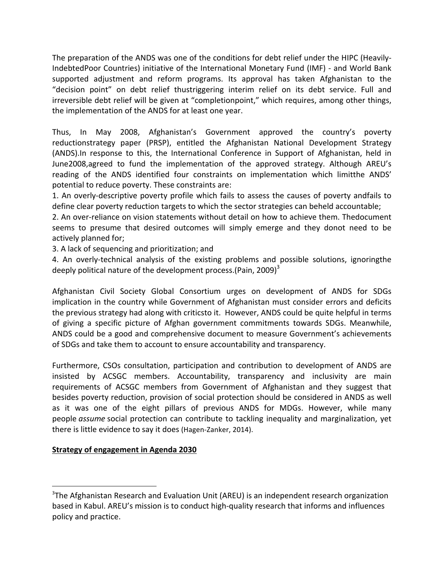The preparation of the ANDS was one of the conditions for debt relief under the HIPC (Heavily-IndebtedPoor Countries) initiative of the International Monetary Fund (IMF) - and World Bank supported adjustment and reform programs. Its approval has taken Afghanistan to the "decision point" on debt relief thustriggering interim relief on its debt service. Full and irreversible debt relief will be given at "completionpoint," which requires, among other things, the implementation of the ANDS for at least one year.

Thus, In May 2008, Afghanistan's Government approved the country's poverty reductionstrategy paper (PRSP), entitled the Afghanistan National Development Strategy (ANDS).In response to this, the International Conference in Support of Afghanistan, held in June2008, agreed to fund the implementation of the approved strategy. Although AREU's reading of the ANDS identified four constraints on implementation which limitthe ANDS' potential to reduce poverty. These constraints are:

1. An overly-descriptive poverty profile which fails to assess the causes of poverty andfails to define clear poverty reduction targets to which the sector strategies can beheld accountable;

2. An over-reliance on vision statements without detail on how to achieve them. Thedocument seems to presume that desired outcomes will simply emerge and they donot need to be actively planned for;

3. A lack of sequencing and prioritization; and

4. An overly-technical analysis of the existing problems and possible solutions, ignoringthe deeply political nature of the development process.(Pain, 2009)<sup>3</sup>

Afghanistan Civil Society Global Consortium urges on development of ANDS for SDGs implication in the country while Government of Afghanistan must consider errors and deficits the previous strategy had along with criticsto it. However, ANDS could be quite helpful in terms of giving a specific picture of Afghan government commitments towards SDGs. Meanwhile, ANDS could be a good and comprehensive document to measure Government's achievements of SDGs and take them to account to ensure accountability and transparency.

Furthermore, CSOs consultation, participation and contribution to development of ANDS are insisted by ACSGC members. Accountability, transparency and inclusivity are main requirements of ACSGC members from Government of Afghanistan and they suggest that besides poverty reduction, provision of social protection should be considered in ANDS as well as it was one of the eight pillars of previous ANDS for MDGs. However, while many people *assume* social protection can contribute to tackling inequality and marginalization, yet there is little evidence to say it does (Hagen-Zanker, 2014).

## **Strategy of engagement in Agenda 2030**

 

 $3$ The Afghanistan Research and Evaluation Unit (AREU) is an independent research organization based in Kabul. AREU's mission is to conduct high-quality research that informs and influences policy and practice.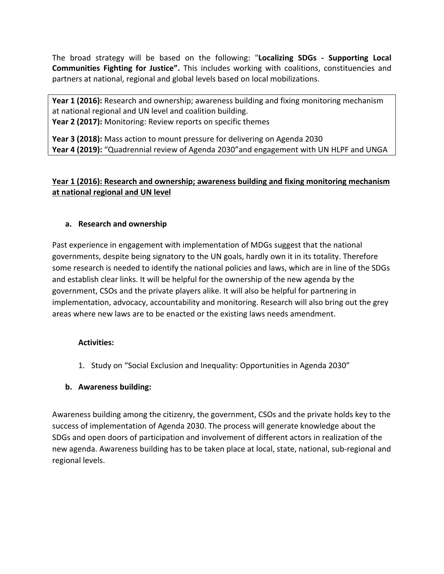The broad strategy will be based on the following: "**Localizing SDGs - Supporting Local Communities Fighting for Justice".** This includes working with coalitions, constituencies and partners at national, regional and global levels based on local mobilizations.

**Year 1 (2016):** Research and ownership; awareness building and fixing monitoring mechanism at national regional and UN level and coalition building. **Year 2 (2017):** Monitoring: Review reports on specific themes

**Year 3 (2018):** Mass action to mount pressure for delivering on Agenda 2030 **Year 4 (2019):** "Quadrennial review of Agenda 2030"and engagement with UN HLPF and UNGA

# **Year 1 (2016): Research and ownership; awareness building and fixing monitoring mechanism at national regional and UN level**

# **a. Research and ownership**

Past experience in engagement with implementation of MDGs suggest that the national governments, despite being signatory to the UN goals, hardly own it in its totality. Therefore some research is needed to identify the national policies and laws, which are in line of the SDGs and establish clear links. It will be helpful for the ownership of the new agenda by the government, CSOs and the private players alike. It will also be helpful for partnering in implementation, advocacy, accountability and monitoring. Research will also bring out the grey areas where new laws are to be enacted or the existing laws needs amendment.

## **Activities:**

1. Study on "Social Exclusion and Inequality: Opportunities in Agenda 2030"

# **b. Awareness building:**

Awareness building among the citizenry, the government, CSOs and the private holds key to the success of implementation of Agenda 2030. The process will generate knowledge about the SDGs and open doors of participation and involvement of different actors in realization of the new agenda. Awareness building has to be taken place at local, state, national, sub-regional and regional levels.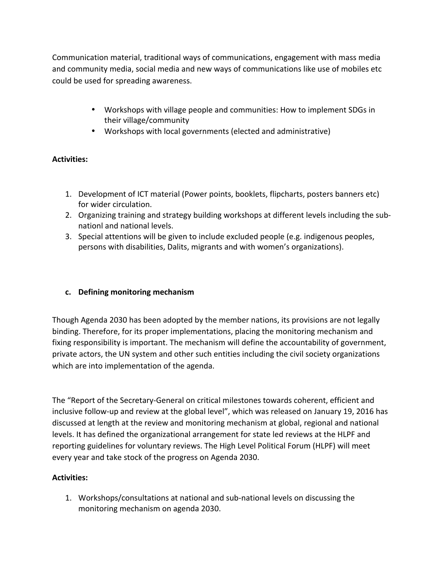Communication material, traditional ways of communications, engagement with mass media and community media, social media and new ways of communications like use of mobiles etc could be used for spreading awareness.

- Workshops with village people and communities: How to implement SDGs in their village/community
- Workshops with local governments (elected and administrative)

# **Activities:**

- 1. Development of ICT material (Power points, booklets, flipcharts, posters banners etc) for wider circulation.
- 2. Organizing training and strategy building workshops at different levels including the subnationl and national levels.
- 3. Special attentions will be given to include excluded people (e.g. indigenous peoples, persons with disabilities, Dalits, migrants and with women's organizations).

## **c. Defining monitoring mechanism**

Though Agenda 2030 has been adopted by the member nations, its provisions are not legally binding. Therefore, for its proper implementations, placing the monitoring mechanism and fixing responsibility is important. The mechanism will define the accountability of government, private actors, the UN system and other such entities including the civil society organizations which are into implementation of the agenda.

The "Report of the Secretary-General on critical milestones towards coherent, efficient and inclusive follow-up and review at the global level", which was released on January 19, 2016 has discussed at length at the review and monitoring mechanism at global, regional and national levels. It has defined the organizational arrangement for state led reviews at the HLPF and reporting guidelines for voluntary reviews. The High Level Political Forum (HLPF) will meet every year and take stock of the progress on Agenda 2030.

# **Activities:**

1. Workshops/consultations at national and sub-national levels on discussing the monitoring mechanism on agenda 2030.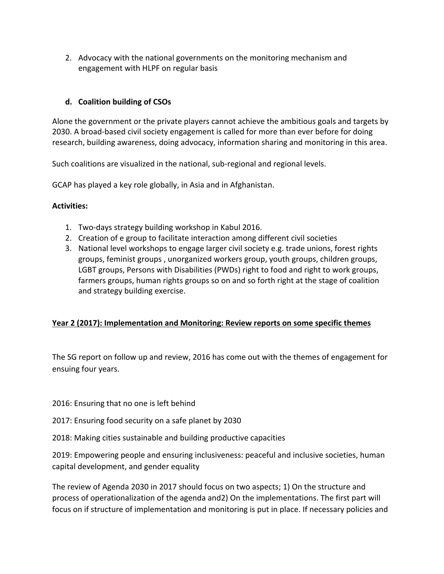2. Advocacy with the national governments on the monitoring mechanism and engagement with HLPF on regular basis

# **d. Coalition building of CSOs**

Alone the government or the private players cannot achieve the ambitious goals and targets by 2030. A broad-based civil society engagement is called for more than ever before for doing research, building awareness, doing advocacy, information sharing and monitoring in this area.

Such coalitions are visualized in the national, sub-regional and regional levels.

GCAP has played a key role globally, in Asia and in Afghanistan.

## **Activities:**

- 1. Two-days strategy building workshop in Kabul 2016.
- 2. Creation of e group to facilitate interaction among different civil societies
- 3. National level workshops to engage larger civil society e.g. trade unions, forest rights groups, feminist groups , unorganized workers group, youth groups, children groups, LGBT groups, Persons with Disabilities (PWDs) right to food and right to work groups, farmers groups, human rights groups so on and so forth right at the stage of coalition and strategy building exercise.

## **Year 2 (2017): Implementation and Monitoring: Review reports on some specific themes**

The SG report on follow up and review, 2016 has come out with the themes of engagement for ensuing four years.

2016: Ensuring that no one is left behind

- 2017: Ensuring food security on a safe planet by 2030
- 2018: Making cities sustainable and building productive capacities

2019: Empowering people and ensuring inclusiveness: peaceful and inclusive societies, human capital development, and gender equality

The review of Agenda 2030 in 2017 should focus on two aspects; 1) On the structure and process of operationalization of the agenda and2) On the implementations. The first part will focus on if structure of implementation and monitoring is put in place. If necessary policies and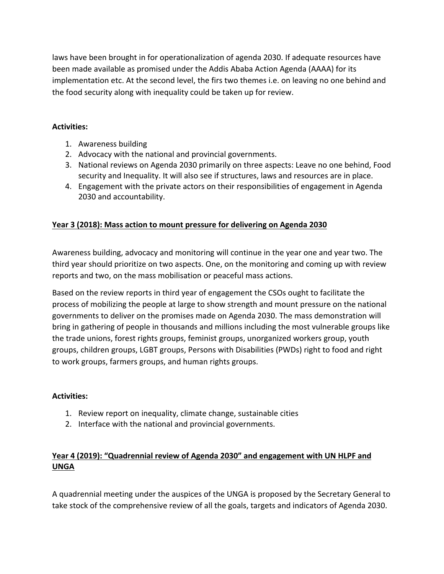laws have been brought in for operationalization of agenda 2030. If adequate resources have been made available as promised under the Addis Ababa Action Agenda (AAAA) for its implementation etc. At the second level, the firs two themes i.e. on leaving no one behind and the food security along with inequality could be taken up for review.

## **Activities:**

- 1. Awareness building
- 2. Advocacy with the national and provincial governments.
- 3. National reviews on Agenda 2030 primarily on three aspects: Leave no one behind, Food security and Inequality. It will also see if structures, laws and resources are in place.
- 4. Engagement with the private actors on their responsibilities of engagement in Agenda 2030 and accountability.

# **Year 3 (2018): Mass action to mount pressure for delivering on Agenda 2030**

Awareness building, advocacy and monitoring will continue in the year one and year two. The third year should prioritize on two aspects. One, on the monitoring and coming up with review reports and two, on the mass mobilisation or peaceful mass actions.

Based on the review reports in third year of engagement the CSOs ought to facilitate the process of mobilizing the people at large to show strength and mount pressure on the national governments to deliver on the promises made on Agenda 2030. The mass demonstration will bring in gathering of people in thousands and millions including the most vulnerable groups like the trade unions, forest rights groups, feminist groups, unorganized workers group, youth groups, children groups, LGBT groups, Persons with Disabilities (PWDs) right to food and right to work groups, farmers groups, and human rights groups.

## **Activities:**

- 1. Review report on inequality, climate change, sustainable cities
- 2. Interface with the national and provincial governments.

# **Year 4 (2019): "Quadrennial review of Agenda 2030" and engagement with UN HLPF and UNGA**

A quadrennial meeting under the auspices of the UNGA is proposed by the Secretary General to take stock of the comprehensive review of all the goals, targets and indicators of Agenda 2030.